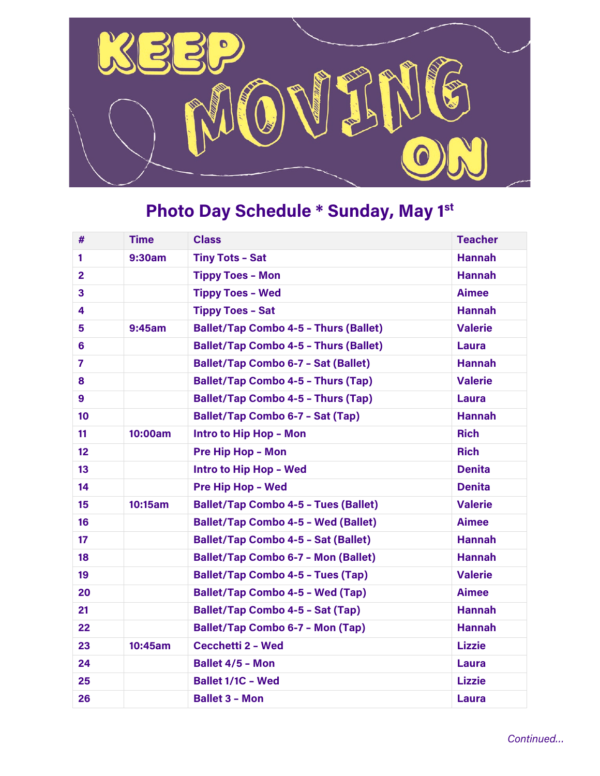

## **Photo Day Schedule \* Sunday, May 1st**

| #               | <b>Time</b> | <b>Class</b>                                 | <b>Teacher</b> |
|-----------------|-------------|----------------------------------------------|----------------|
| 1               | 9:30am      | <b>Tiny Tots - Sat</b>                       | <b>Hannah</b>  |
| $\overline{2}$  |             | <b>Tippy Toes - Mon</b>                      | <b>Hannah</b>  |
| 3               |             | <b>Tippy Toes - Wed</b>                      | <b>Aimee</b>   |
| 4               |             | <b>Tippy Toes - Sat</b>                      | <b>Hannah</b>  |
| 5               | 9:45am      | <b>Ballet/Tap Combo 4-5 - Thurs (Ballet)</b> | <b>Valerie</b> |
| 6               |             | <b>Ballet/Tap Combo 4-5 - Thurs (Ballet)</b> | <b>Laura</b>   |
| $\overline{7}$  |             | <b>Ballet/Tap Combo 6-7 - Sat (Ballet)</b>   | <b>Hannah</b>  |
| 8               |             | <b>Ballet/Tap Combo 4-5 - Thurs (Tap)</b>    | <b>Valerie</b> |
| 9               |             | <b>Ballet/Tap Combo 4-5 - Thurs (Tap)</b>    | <b>Laura</b>   |
| 10              |             | <b>Ballet/Tap Combo 6-7 - Sat (Tap)</b>      | <b>Hannah</b>  |
| 11              | 10:00am     | Intro to Hip Hop - Mon                       | <b>Rich</b>    |
| 12 <sup>2</sup> |             | <b>Pre Hip Hop - Mon</b>                     | <b>Rich</b>    |
| 13 <sup>°</sup> |             | Intro to Hip Hop - Wed                       | <b>Denita</b>  |
| 14              |             | <b>Pre Hip Hop - Wed</b>                     | <b>Denita</b>  |
| 15              | 10:15am     | <b>Ballet/Tap Combo 4-5 - Tues (Ballet)</b>  | <b>Valerie</b> |
| 16              |             | <b>Ballet/Tap Combo 4-5 - Wed (Ballet)</b>   | <b>Aimee</b>   |
| 17              |             | <b>Ballet/Tap Combo 4-5 - Sat (Ballet)</b>   | <b>Hannah</b>  |
| 18              |             | <b>Ballet/Tap Combo 6-7 - Mon (Ballet)</b>   | <b>Hannah</b>  |
| 19              |             | <b>Ballet/Tap Combo 4-5 - Tues (Tap)</b>     | <b>Valerie</b> |
| 20              |             | <b>Ballet/Tap Combo 4-5 - Wed (Tap)</b>      | <b>Aimee</b>   |
| 21              |             | <b>Ballet/Tap Combo 4-5 - Sat (Tap)</b>      | <b>Hannah</b>  |
| 22              |             | <b>Ballet/Tap Combo 6-7 - Mon (Tap)</b>      | <b>Hannah</b>  |
| 23              | 10:45am     | Cecchetti 2 - Wed                            | <b>Lizzie</b>  |
| 24              |             | <b>Ballet 4/5 - Mon</b>                      | Laura          |
| 25              |             | <b>Ballet 1/1C - Wed</b>                     | <b>Lizzie</b>  |
| 26              |             | <b>Ballet 3 - Mon</b>                        | <b>Laura</b>   |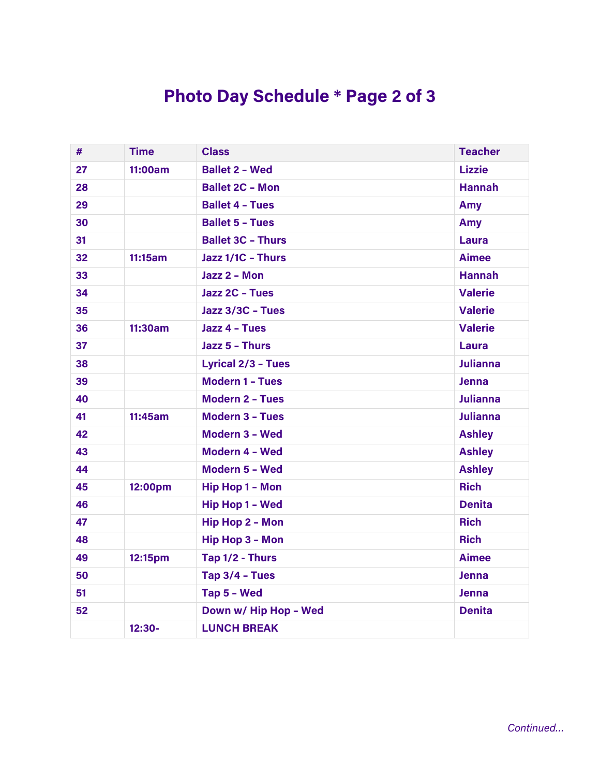## **Photo Day Schedule \* Page 2 of 3**

| #  | <b>Time</b> | <b>Class</b>              | <b>Teacher</b>  |
|----|-------------|---------------------------|-----------------|
| 27 | 11:00am     | <b>Ballet 2 - Wed</b>     | <b>Lizzie</b>   |
| 28 |             | <b>Ballet 2C - Mon</b>    | <b>Hannah</b>   |
| 29 |             | <b>Ballet 4 - Tues</b>    | Amy             |
| 30 |             | <b>Ballet 5 - Tues</b>    | Amy             |
| 31 |             | <b>Ballet 3C - Thurs</b>  | Laura           |
| 32 | 11:15am     | Jazz 1/1C - Thurs         | <b>Aimee</b>    |
| 33 |             | Jazz 2 - Mon              | <b>Hannah</b>   |
| 34 |             | Jazz 2C - Tues            | <b>Valerie</b>  |
| 35 |             | Jazz 3/3C - Tues          | <b>Valerie</b>  |
| 36 | 11:30am     | Jazz 4 - Tues             | <b>Valerie</b>  |
| 37 |             | Jazz 5 - Thurs            | <b>Laura</b>    |
| 38 |             | <b>Lyrical 2/3 - Tues</b> | <b>Julianna</b> |
| 39 |             | <b>Modern 1 - Tues</b>    | <b>Jenna</b>    |
| 40 |             | <b>Modern 2 - Tues</b>    | <b>Julianna</b> |
| 41 | 11:45am     | <b>Modern 3 - Tues</b>    | <b>Julianna</b> |
| 42 |             | Modern 3 - Wed            | <b>Ashley</b>   |
| 43 |             | Modern 4 - Wed            | <b>Ashley</b>   |
| 44 |             | Modern 5 - Wed            | <b>Ashley</b>   |
| 45 | 12:00pm     | <b>Hip Hop 1 - Mon</b>    | <b>Rich</b>     |
| 46 |             | <b>Hip Hop 1 - Wed</b>    | <b>Denita</b>   |
| 47 |             | <b>Hip Hop 2 - Mon</b>    | <b>Rich</b>     |
| 48 |             | <b>Hip Hop 3 - Mon</b>    | <b>Rich</b>     |
| 49 | 12:15pm     | Tap 1/2 - Thurs           | <b>Aimee</b>    |
| 50 |             | Tap 3/4 - Tues            | <b>Jenna</b>    |
| 51 |             | Tap 5 - Wed               | <b>Jenna</b>    |
| 52 |             | Down w/ Hip Hop - Wed     | <b>Denita</b>   |
|    | 12:30-      | <b>LUNCH BREAK</b>        |                 |